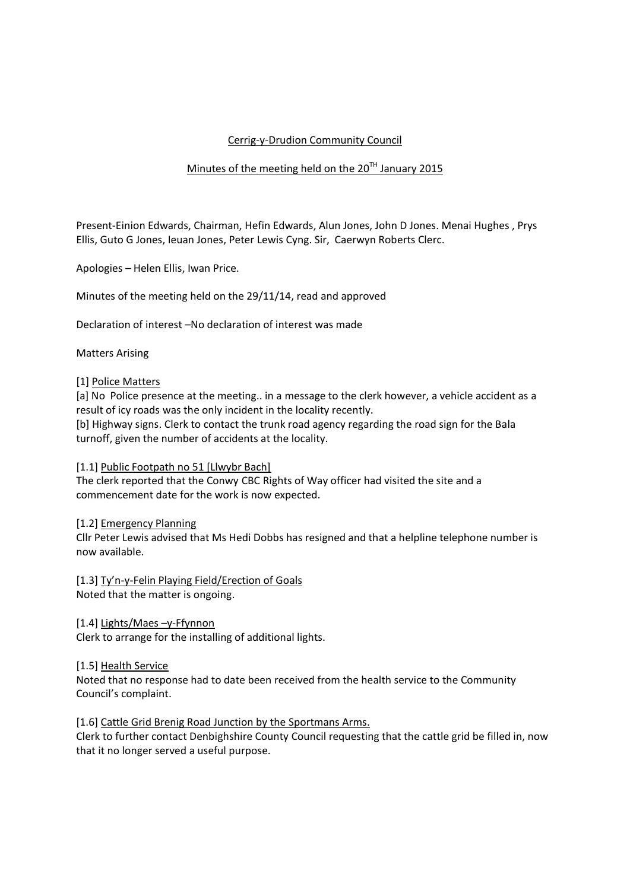# Cerrig-y-Drudion Community Council

## Minutes of the meeting held on the  $20^{TH}$  January 2015

Present-Einion Edwards, Chairman, Hefin Edwards, Alun Jones, John D Jones. Menai Hughes , Prys Ellis, Guto G Jones, Ieuan Jones, Peter Lewis Cyng. Sir, Caerwyn Roberts Clerc.

Apologies – Helen Ellis, Iwan Price.

Minutes of the meeting held on the 29/11/14, read and approved

Declaration of interest –No declaration of interest was made

### Matters Arising

#### [1] Police Matters

[a] No Police presence at the meeting.. in a message to the clerk however, a vehicle accident as a result of icy roads was the only incident in the locality recently.

[b] Highway signs. Clerk to contact the trunk road agency regarding the road sign for the Bala turnoff, given the number of accidents at the locality.

#### [1.1] Public Footpath no 51 [Llwybr Bach]

The clerk reported that the Conwy CBC Rights of Way officer had visited the site and a commencement date for the work is now expected.

#### [1.2] Emergency Planning

Cllr Peter Lewis advised that Ms Hedi Dobbs has resigned and that a helpline telephone number is now available.

[1.3] Ty'n-y-Felin Playing Field/Erection of Goals Noted that the matter is ongoing.

[1.4] Lights/Maes –y-Ffynnon Clerk to arrange for the installing of additional lights.

### [1.5] Health Service

Noted that no response had to date been received from the health service to the Community Council's complaint.

#### [1.6] Cattle Grid Brenig Road Junction by the Sportmans Arms.

Clerk to further contact Denbighshire County Council requesting that the cattle grid be filled in, now that it no longer served a useful purpose.